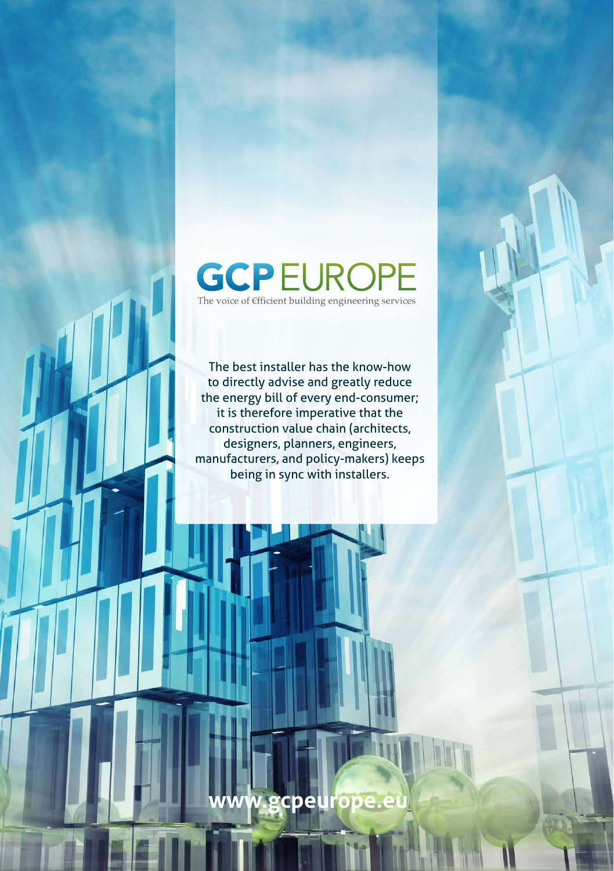# **GCPEUR**

The voice of Efficient building engineering services

The best installer has the know-how to directly advise and greatly reduce the energy bill of every end-consumer; it is therefore imperative that the construction value chain (architects, designers, planners, engineers, manufacturers, and policy-makers) keeps being in sync with installers.

**www.gcpeurope.eu**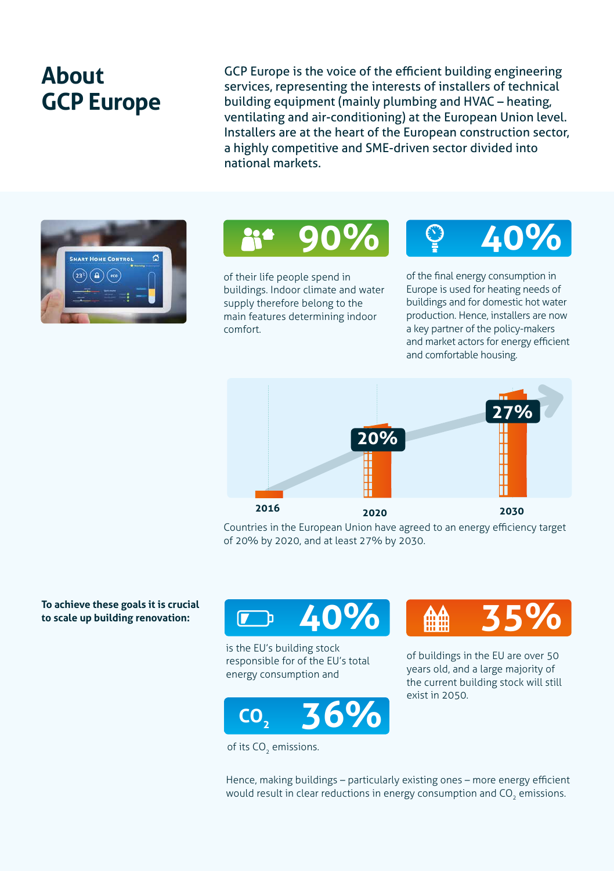### **About GCP Europe**

GCP Europe is the voice of the efficient building engineering services, representing the interests of installers of technical building equipment (mainly plumbing and HVAC – heating, ventilating and air-conditioning) at the European Union level. Installers are at the heart of the European construction sector, a highly competitive and SME-driven sector divided into national markets.





of their life people spend in buildings. Indoor climate and water supply therefore belong to the main features determining indoor comfort.



of the final energy consumption in Europe is used for heating needs of buildings and for domestic hot water production. Hence, installers are now a key partner of the policy-makers and market actors for energy efficient and comfortable housing.



Countries in the European Union have agreed to an energy efficiency target of 20% by 2020, and at least 27% by 2030.

**To achieve these goals it is crucial to scale up building renovation:** 



is the EU's building stock responsible for of the EU's total energy consumption and



of its CO<sub>2</sub> emissions.



of buildings in the EU are over 50 years old, and a large majority of the current building stock will still exist in 2050.

Hence, making buildings – particularly existing ones – more energy efficient would result in clear reductions in energy consumption and CO<sub>2</sub> emissions.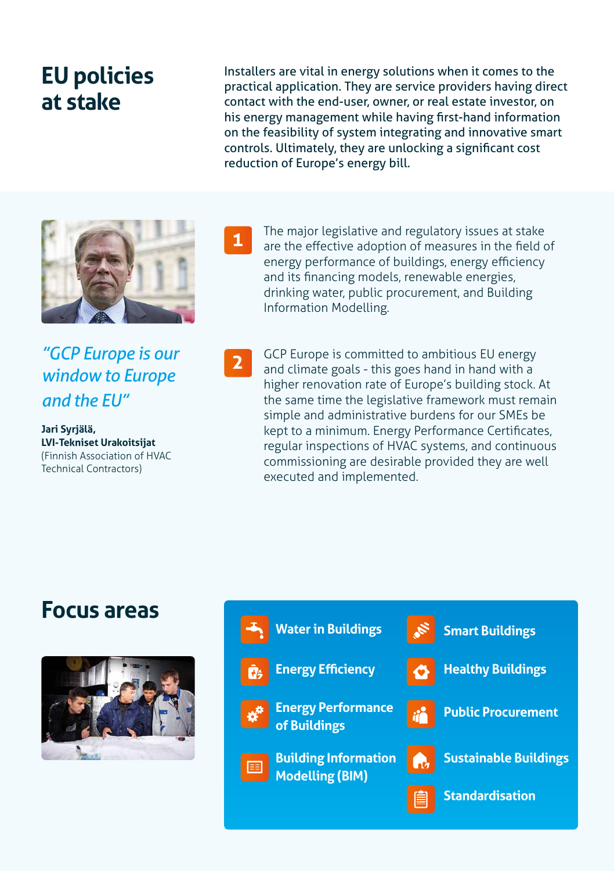### **EU policies at stake**

Installers are vital in energy solutions when it comes to the practical application. They are service providers having direct contact with the end-user, owner, or real estate investor, on his energy management while having first-hand information on the feasibility of system integrating and innovative smart controls. Ultimately, they are unlocking a significant cost reduction of Europe's energy bill.



*"GCP Europe is our window to Europe and the EU"*

**Jari Syrjälä, LVI-Tekniset Urakoitsijat**  (Finnish Association of HVAC Technical Contractors)



The major legislative and regulatory issues at stake are the effective adoption of measures in the field of energy performance of buildings, energy efficiency and its financing models, renewable energies, drinking water, public procurement, and Building Information Modelling.

**2**

GCP Europe is committed to ambitious EU energy and climate goals - this goes hand in hand with a higher renovation rate of Europe's building stock. At the same time the legislative framework must remain simple and administrative burdens for our SMEs be kept to a minimum. Energy Performance Certificates, regular inspections of HVAC systems, and continuous commissioning are desirable provided they are well executed and implemented.

### **Focus areas**



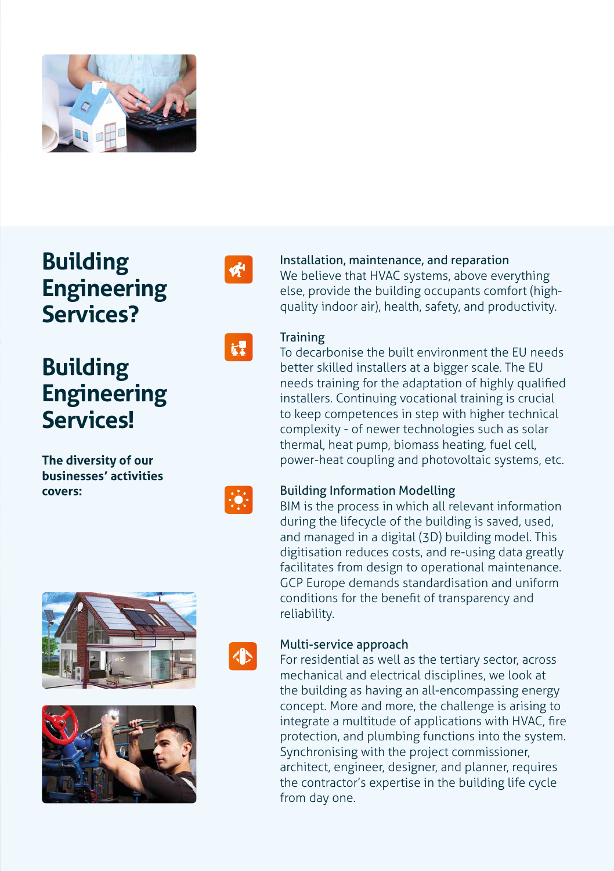

### **Building Engineering Services?**

## **Building Engineering Services!**

**The diversity of our businesses' activities covers:**



## $k<sup>2</sup>$

### Installation, maintenance, and reparation

We believe that HVAC systems, above everything else, provide the building occupants comfort (highquality indoor air), health, safety, and productivity.



#### **Training**

To decarbonise the built environment the EU needs better skilled installers at a bigger scale. The EU needs training for the adaptation of highly qualified installers. Continuing vocational training is crucial to keep competences in step with higher technical complexity - of newer technologies such as solar thermal, heat pump, biomass heating, fuel cell, power-heat coupling and photovoltaic systems, etc.



#### Building Information Modelling

BIM is the process in which all relevant information during the lifecycle of the building is saved, used, and managed in a digital (3D) building model. This digitisation reduces costs, and re-using data greatly facilitates from design to operational maintenance. GCP Europe demands standardisation and uniform conditions for the benefit of transparency and reliability.







#### Multi-service approach

For residential as well as the tertiary sector, across mechanical and electrical disciplines, we look at the building as having an all-encompassing energy concept. More and more, the challenge is arising to integrate a multitude of applications with HVAC, fire protection, and plumbing functions into the system. Synchronising with the project commissioner, architect, engineer, designer, and planner, requires the contractor's expertise in the building life cycle from day one.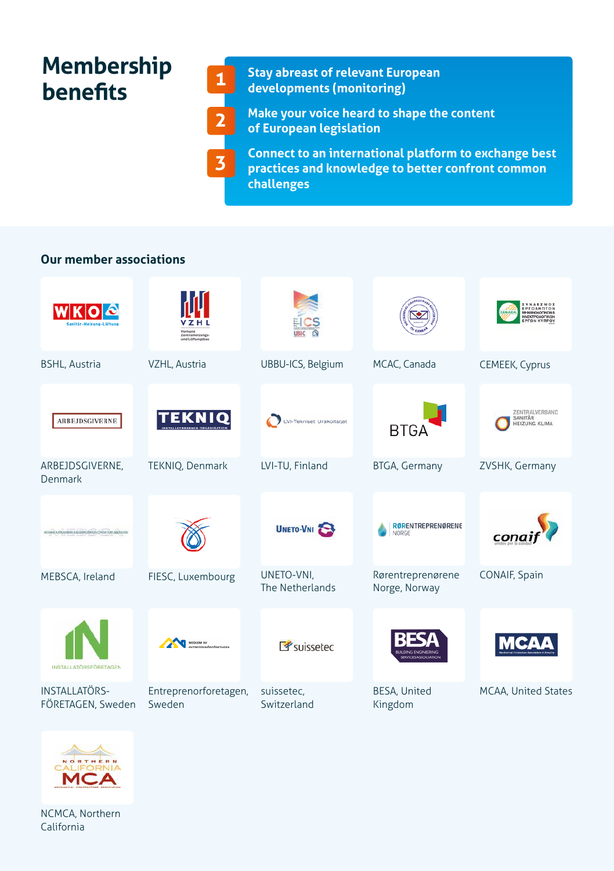### **Membership benefits**

**3**

**Stay abreast of relevant European developments (monitoring)**

**Make your voice heard to shape the content of European legislation** 

**Connect to an international platform to exchange best practices and knowledge to better confront common challenges**

### **Our member associations**

|                                                           | Zentralhelzung<br>und Lüftunest    | СS                            |                                    | EPFOAHNTON<br>MHXANOAOFIKON &<br><b>HAEKTPOAOFIKON</b> |
|-----------------------------------------------------------|------------------------------------|-------------------------------|------------------------------------|--------------------------------------------------------|
| <b>BSHL, Austria</b>                                      | VZHL, Austria                      | UBBU-ICS, Belgium             | MCAC, Canada                       | CEMEEK, Cyprus                                         |
| ARBEJDSGIVERNE                                            |                                    | VI-Tekniset Urakoitsijat      | BTGA                               | ZENTRALVERBAND<br>SANITÄR<br><b>HEIZUNG KLIMA</b>      |
| ARBEJDSGIVERNE,<br>Denmark                                | TEKNIQ, Denmark                    | LVI-TU, Finland               | <b>BTGA, Germany</b>               | ZVSHK, Germany                                         |
| MOINVEN: INCINENTIA JEUNING MARINE CONTACTORE NEGRO ESTIM |                                    | UNETO-VNI                     | <b>RØRENTREPRENØRENE</b><br>NORGE  | conc                                                   |
| MEBSCA, Ireland                                           | FIESC, Luxembourg                  | UNETO-VNI,<br>The Netherlands | Rørentreprenørene<br>Norge, Norway | CONAIF, Spain                                          |
| <b>INSTALLATORSFÖRETAGEN</b>                              | <b>REDUCH AV</b><br>manufactoresce | <b><i>P</i></b> suissetec     |                                    |                                                        |
| INSTALLATÖRS-<br>FÖRETAGEN, Sweden                        | Entreprenorforetagen,<br>Sweden    | suissetec,<br>Switzerland     | BESA, United<br>Kingdom            | MCAA, United States                                    |



NCMCA, Northern California